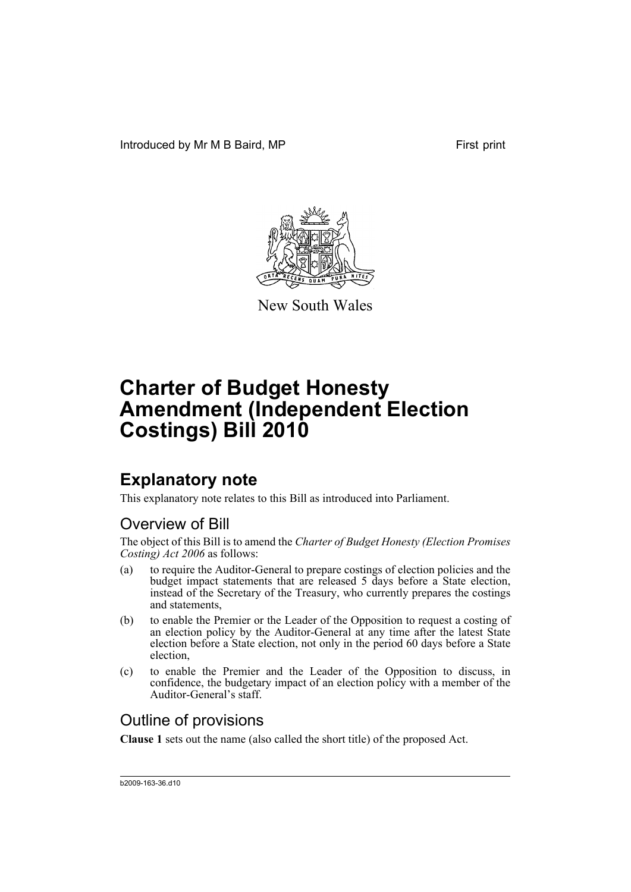

New South Wales

## **Explanatory note**

This explanatory note relates to this Bill as introduced into Parliament.

## Overview of Bill

The object of this Bill is to amend the *Charter of Budget Honesty (Election Promises Costing) Act 2006* as follows:

- (a) to require the Auditor-General to prepare costings of election policies and the budget impact statements that are released 5 days before a State election, instead of the Secretary of the Treasury, who currently prepares the costings and statements,
- (b) to enable the Premier or the Leader of the Opposition to request a costing of an election policy by the Auditor-General at any time after the latest State election before a State election, not only in the period 60 days before a State election,
- (c) to enable the Premier and the Leader of the Opposition to discuss, in confidence, the budgetary impact of an election policy with a member of the Auditor-General's staff.

## Outline of provisions

**Clause 1** sets out the name (also called the short title) of the proposed Act.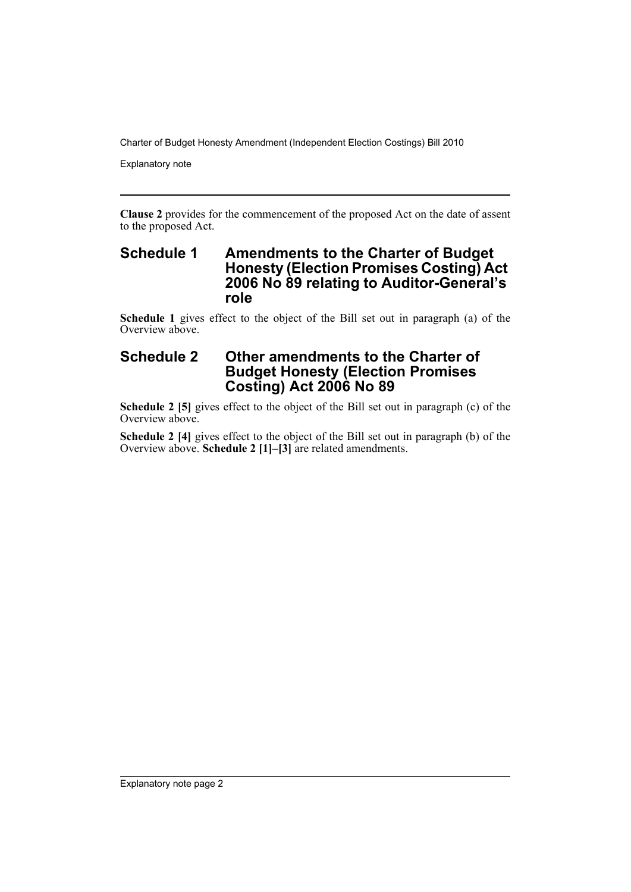Explanatory note

**Clause 2** provides for the commencement of the proposed Act on the date of assent to the proposed Act.

#### **Schedule 1 Amendments to the Charter of Budget Honesty (Election Promises Costing) Act 2006 No 89 relating to Auditor-General's role**

**Schedule 1** gives effect to the object of the Bill set out in paragraph (a) of the Overview above.

### **Schedule 2 Other amendments to the Charter of Budget Honesty (Election Promises Costing) Act 2006 No 89**

**Schedule 2 [5]** gives effect to the object of the Bill set out in paragraph (c) of the Overview above.

**Schedule 2 [4]** gives effect to the object of the Bill set out in paragraph (b) of the Overview above. **Schedule 2 [1]–[3]** are related amendments.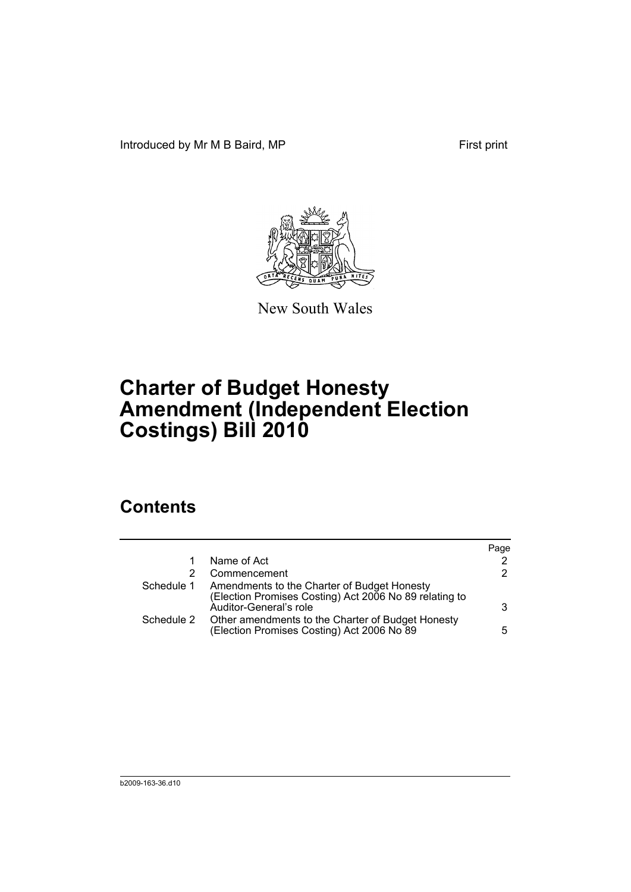Introduced by Mr M B Baird, MP First print



New South Wales

# **Charter of Budget Honesty Amendment (Independent Election Costings) Bill 2010**

## **Contents**

|            |                                                                                                                                 | Page |
|------------|---------------------------------------------------------------------------------------------------------------------------------|------|
|            | Name of Act                                                                                                                     | 2    |
|            | Commencement                                                                                                                    | 2    |
| Schedule 1 | Amendments to the Charter of Budget Honesty<br>(Election Promises Costing) Act 2006 No 89 relating to<br>Auditor-General's role | 3    |
| Schedule 2 | Other amendments to the Charter of Budget Honesty<br>(Election Promises Costing) Act 2006 No 89                                 | 5.   |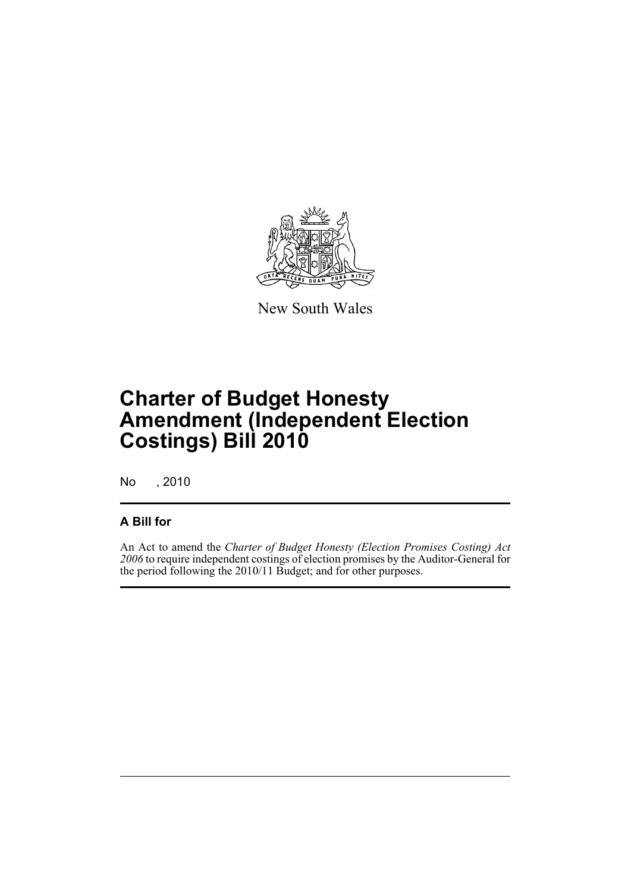

New South Wales

# **Charter of Budget Honesty Amendment (Independent Election Costings) Bill 2010**

No , 2010

### **A Bill for**

An Act to amend the *Charter of Budget Honesty (Election Promises Costing) Act 2006* to require independent costings of election promises by the Auditor-General for the period following the 2010/11 Budget; and for other purposes.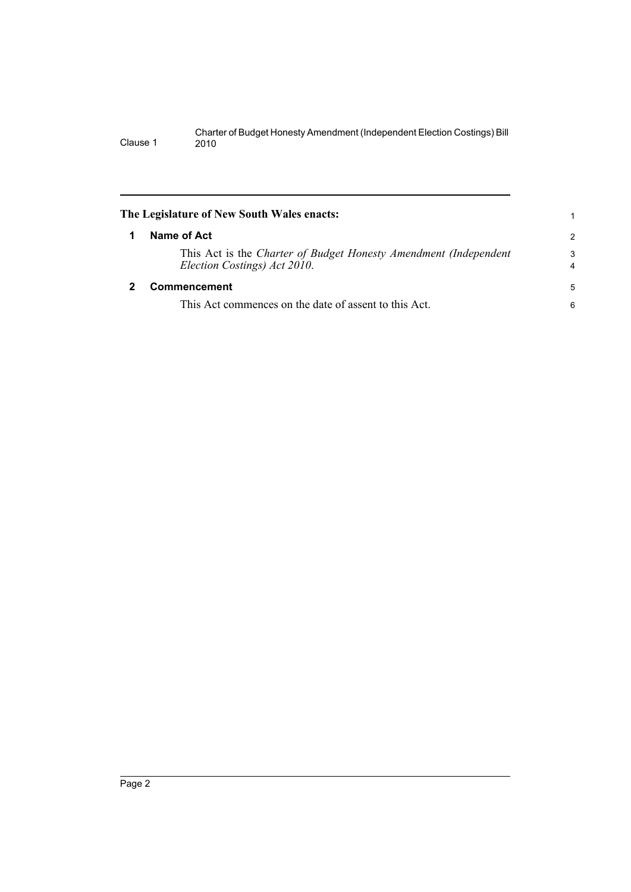<span id="page-5-1"></span><span id="page-5-0"></span>

|   | The Legislature of New South Wales enacts:                                                       |                     |
|---|--------------------------------------------------------------------------------------------------|---------------------|
|   | Name of Act                                                                                      | 2                   |
|   | This Act is the Charter of Budget Honesty Amendment (Independent<br>Election Costings) Act 2010. | 3<br>$\overline{4}$ |
| 2 | Commencement                                                                                     | 5                   |
|   | This Act commences on the date of assent to this Act.                                            | 6                   |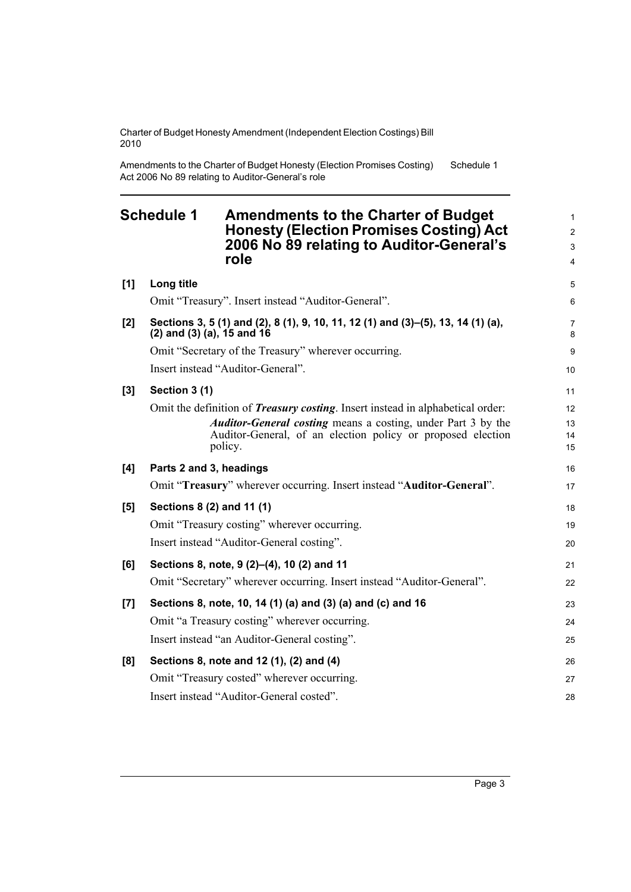Amendments to the Charter of Budget Honesty (Election Promises Costing) Act 2006 No 89 relating to Auditor-General's role Schedule 1

<span id="page-6-0"></span>

| <b>Schedule 1</b> |                                                                                                                       | <b>Amendments to the Charter of Budget</b><br><b>Honesty (Election Promises Costing) Act</b><br>2006 No 89 relating to Auditor-General's<br>role                                                                                        | 1<br>$\overline{c}$<br>3<br>4 |
|-------------------|-----------------------------------------------------------------------------------------------------------------------|-----------------------------------------------------------------------------------------------------------------------------------------------------------------------------------------------------------------------------------------|-------------------------------|
| [1]               | Long title                                                                                                            |                                                                                                                                                                                                                                         | 5                             |
|                   |                                                                                                                       | Omit "Treasury". Insert instead "Auditor-General".                                                                                                                                                                                      | 6                             |
| [2]               | Sections 3, 5 (1) and (2), 8 (1), 9, 10, 11, 12 (1) and (3)–(5), 13, 14 (1) (a),<br>$(2)$ and $(3)$ $(a)$ , 15 and 16 |                                                                                                                                                                                                                                         | 7<br>8                        |
|                   |                                                                                                                       | Omit "Secretary of the Treasury" wherever occurring.                                                                                                                                                                                    | 9                             |
|                   |                                                                                                                       | Insert instead "Auditor-General".                                                                                                                                                                                                       | 10                            |
| [3]               | Section 3 (1)                                                                                                         |                                                                                                                                                                                                                                         | 11                            |
|                   |                                                                                                                       | Omit the definition of <i>Treasury costing</i> . Insert instead in alphabetical order:<br><b>Auditor-General costing</b> means a costing, under Part 3 by the<br>Auditor-General, of an election policy or proposed election<br>policy. | 12<br>13<br>14<br>15          |
| [4]               | Parts 2 and 3, headings                                                                                               |                                                                                                                                                                                                                                         | 16                            |
|                   |                                                                                                                       | Omit "Treasury" wherever occurring. Insert instead "Auditor-General".                                                                                                                                                                   | 17                            |
| [5]               | Sections 8 (2) and 11 (1)                                                                                             |                                                                                                                                                                                                                                         | 18                            |
|                   |                                                                                                                       | Omit "Treasury costing" wherever occurring.                                                                                                                                                                                             | 19                            |
|                   |                                                                                                                       | Insert instead "Auditor-General costing".                                                                                                                                                                                               | 20                            |
| [6]               |                                                                                                                       | Sections 8, note, 9 (2)-(4), 10 (2) and 11                                                                                                                                                                                              | 21                            |
|                   |                                                                                                                       | Omit "Secretary" wherever occurring. Insert instead "Auditor-General".                                                                                                                                                                  | 22                            |
| [7]               |                                                                                                                       | Sections 8, note, 10, 14 (1) (a) and (3) (a) and (c) and 16                                                                                                                                                                             | 23                            |
|                   |                                                                                                                       | Omit "a Treasury costing" wherever occurring.                                                                                                                                                                                           | 24                            |
|                   |                                                                                                                       | Insert instead "an Auditor-General costing".                                                                                                                                                                                            | 25                            |
| [8]               |                                                                                                                       | Sections 8, note and 12 (1), (2) and (4)                                                                                                                                                                                                | 26                            |
|                   |                                                                                                                       | Omit "Treasury costed" wherever occurring.                                                                                                                                                                                              | 27                            |
|                   |                                                                                                                       | Insert instead "Auditor-General costed".                                                                                                                                                                                                | 28                            |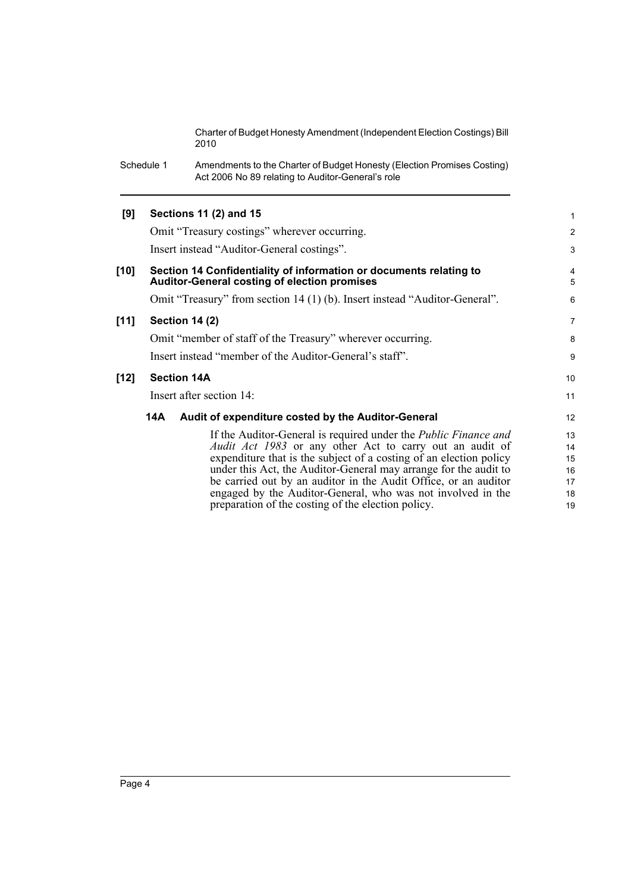Schedule 1 Amendments to the Charter of Budget Honesty (Election Promises Costing) Act 2006 No 89 relating to Auditor-General's role

#### **[9] Sections 11 (2) and 15** Omit "Treasury costings" wherever occurring. Insert instead "Auditor-General costings". **[10] Section 14 Confidentiality of information or documents relating to Auditor-General costing of election promises** Omit "Treasury" from section 14 (1) (b). Insert instead "Auditor-General". **[11] Section 14 (2)** Omit "member of staff of the Treasury" wherever occurring. Insert instead "member of the Auditor-General's staff". **[12] Section 14A** Insert after section 14: **14A Audit of expenditure costed by the Auditor-General** If the Auditor-General is required under the *Public Finance and Audit Act 1983* or any other Act to carry out an audit of expenditure that is the subject of a costing of an election policy under this Act, the Auditor-General may arrange for the audit to 1 2 3 4 5 6 7 8 9 10 11 12 13 14 15 16

be carried out by an auditor in the Audit Office, or an auditor engaged by the Auditor-General, who was not involved in the 17 18 19

preparation of the costing of the election policy.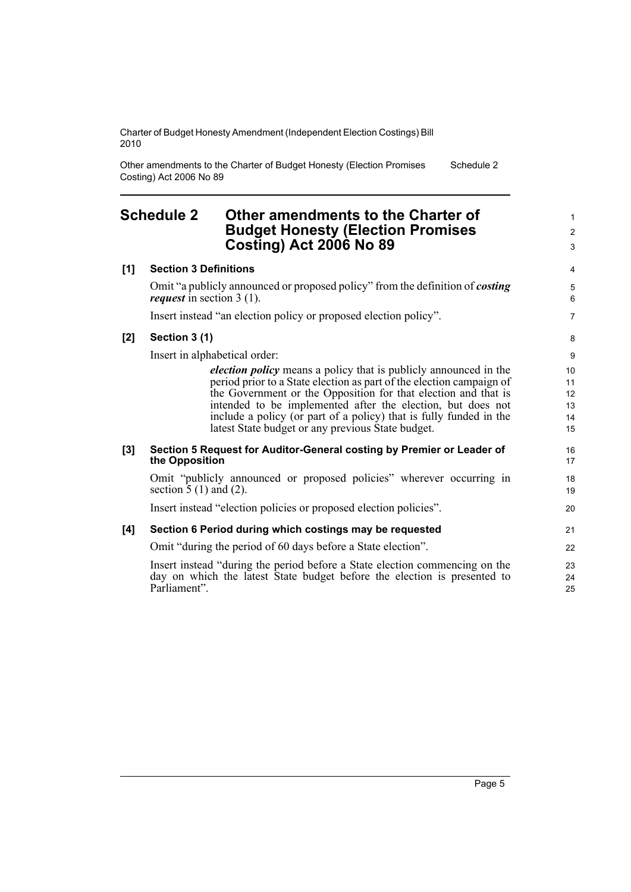Other amendments to the Charter of Budget Honesty (Election Promises Costing) Act 2006 No 89 Schedule 2

### <span id="page-8-0"></span>**Schedule 2 Other amendments to the Charter of Budget Honesty (Election Promises Costing) Act 2006 No 89**

| <b>Budget Honesty (Election Promises</b><br>Costing) Act 2006 No 89                                                                                                                                                                                                                                                                                                                                                                                                                                                                     | $\overline{2}$<br>3                               |
|-----------------------------------------------------------------------------------------------------------------------------------------------------------------------------------------------------------------------------------------------------------------------------------------------------------------------------------------------------------------------------------------------------------------------------------------------------------------------------------------------------------------------------------------|---------------------------------------------------|
| <b>Section 3 Definitions</b>                                                                                                                                                                                                                                                                                                                                                                                                                                                                                                            | $\overline{4}$                                    |
| Omit "a publicly announced or proposed policy" from the definition of costing<br><i>request</i> in section $3(1)$ .                                                                                                                                                                                                                                                                                                                                                                                                                     | 5<br>6                                            |
| Insert instead "an election policy or proposed election policy".                                                                                                                                                                                                                                                                                                                                                                                                                                                                        | $\overline{7}$                                    |
| Section 3 (1)                                                                                                                                                                                                                                                                                                                                                                                                                                                                                                                           | 8                                                 |
| Insert in alphabetical order:<br><i>election policy</i> means a policy that is publicly announced in the<br>period prior to a State election as part of the election campaign of<br>the Government or the Opposition for that election and that is<br>intended to be implemented after the election, but does not<br>include a policy (or part of a policy) that is fully funded in the<br>latest State budget or any previous State budget.<br>Section 5 Request for Auditor-General costing by Premier or Leader of<br>the Opposition | 9<br>10<br>11<br>12<br>13<br>14<br>15<br>16<br>17 |
| Omit "publicly announced or proposed policies" wherever occurring in<br>section $\overline{5}$ (1) and (2).                                                                                                                                                                                                                                                                                                                                                                                                                             | 18<br>19                                          |
| Insert instead "election policies or proposed election policies".                                                                                                                                                                                                                                                                                                                                                                                                                                                                       | 20                                                |
| Section 6 Period during which costings may be requested                                                                                                                                                                                                                                                                                                                                                                                                                                                                                 |                                                   |
| Omit "during the period of 60 days before a State election".                                                                                                                                                                                                                                                                                                                                                                                                                                                                            | 22                                                |
| Insert instead "during the period before a State election commencing on the<br>day on which the latest State budget before the election is presented to<br>Parliament".                                                                                                                                                                                                                                                                                                                                                                 | 23<br>24<br>25                                    |
|                                                                                                                                                                                                                                                                                                                                                                                                                                                                                                                                         |                                                   |

1